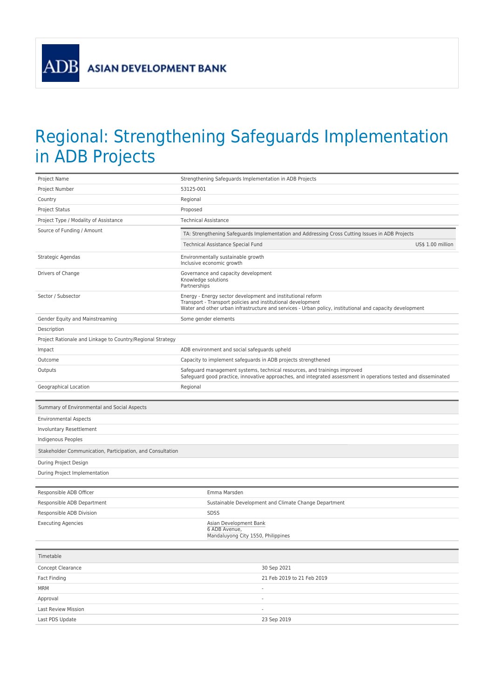**ASIAN DEVELOPMENT BANK** 

**ADB** 

## Regional: Strengthening Safeguards Implementation in ADB Projects

| Project Name                                               | Strengthening Safeguards Implementation in ADB Projects                                                                                                                                                                                 |
|------------------------------------------------------------|-----------------------------------------------------------------------------------------------------------------------------------------------------------------------------------------------------------------------------------------|
| Project Number                                             | 53125-001                                                                                                                                                                                                                               |
| Country                                                    | Regional                                                                                                                                                                                                                                |
| <b>Project Status</b>                                      | Proposed                                                                                                                                                                                                                                |
| Project Type / Modality of Assistance                      | <b>Technical Assistance</b>                                                                                                                                                                                                             |
| Source of Funding / Amount                                 | TA: Strengthening Safeguards Implementation and Addressing Cross Cutting Issues in ADB Projects                                                                                                                                         |
|                                                            | Technical Assistance Special Fund<br>US\$ 1.00 million                                                                                                                                                                                  |
| Strategic Agendas                                          | Environmentally sustainable growth<br>Inclusive economic growth                                                                                                                                                                         |
| Drivers of Change                                          | Governance and capacity development<br>Knowledge solutions<br>Partnerships                                                                                                                                                              |
| Sector / Subsector                                         | Energy - Energy sector development and institutional reform<br>Transport - Transport policies and institutional development<br>Water and other urban infrastructure and services - Urban policy, institutional and capacity development |
| Gender Equity and Mainstreaming                            | Some gender elements                                                                                                                                                                                                                    |
| Description                                                |                                                                                                                                                                                                                                         |
| Project Rationale and Linkage to Country/Regional Strategy |                                                                                                                                                                                                                                         |
| Impact                                                     | ADB environment and social safeguards upheld                                                                                                                                                                                            |
| Outcome                                                    | Capacity to implement safeguards in ADB projects strengthened                                                                                                                                                                           |
| Outputs                                                    | Safeguard management systems, technical resources, and trainings improved<br>Safeguard good practice, innovative approaches, and integrated assessment in operations tested and disseminated                                            |
| Geographical Location                                      | Regional                                                                                                                                                                                                                                |
|                                                            |                                                                                                                                                                                                                                         |
|                                                            |                                                                                                                                                                                                                                         |
| Summary of Environmental and Social Aspects                |                                                                                                                                                                                                                                         |
| <b>Environmental Aspects</b>                               |                                                                                                                                                                                                                                         |
| Involuntary Resettlement                                   |                                                                                                                                                                                                                                         |
| Indigenous Peoples                                         |                                                                                                                                                                                                                                         |
| Stakeholder Communication, Participation, and Consultation |                                                                                                                                                                                                                                         |
| During Project Design                                      |                                                                                                                                                                                                                                         |
| During Project Implementation                              |                                                                                                                                                                                                                                         |
|                                                            |                                                                                                                                                                                                                                         |
| Responsible ADB Officer                                    | Emma Marsden                                                                                                                                                                                                                            |
| Responsible ADB Department                                 | Sustainable Development and Climate Change Department                                                                                                                                                                                   |
| Responsible ADB Division                                   | <b>SDSS</b>                                                                                                                                                                                                                             |
| <b>Executing Agencies</b>                                  | Asian Development Bank<br>6 ADB Avenue,<br>Mandaluyong City 1550, Philippines                                                                                                                                                           |
|                                                            |                                                                                                                                                                                                                                         |
| Timetable                                                  |                                                                                                                                                                                                                                         |
| Concept Clearance                                          | 30 Sep 2021                                                                                                                                                                                                                             |
| Fact Finding                                               | 21 Feb 2019 to 21 Feb 2019                                                                                                                                                                                                              |
| <b>MRM</b>                                                 | $\overline{\phantom{a}}$                                                                                                                                                                                                                |
| Approval<br>Last Review Mission                            | $\centering \label{eq:reduced}$<br>$\frac{1}{2}$                                                                                                                                                                                        |